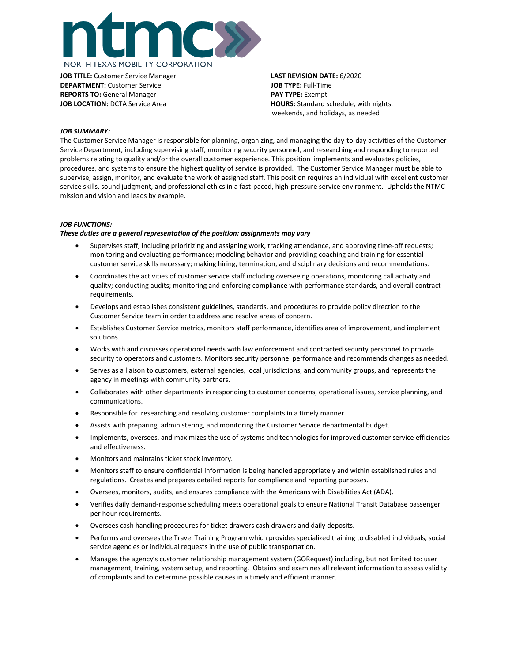

**JOB TITLE:** Customer Service Manager **LAST REVISION DATE:** 6/2020 **DEPARTMENT:** Customer Service **JOB TYPE:** Full-Time **REPORTS TO:** General Manager **PAY TYPE:** Exempt

**JOB LOCATION:** DCTA Service Area **HOURS: HOURS:** Standard schedule, with nights, weekends, and holidays, as needed

### *JOB SUMMARY:*

The Customer Service Manager is responsible for planning, organizing, and managing the day-to-day activities of the Customer Service Department, including supervising staff, monitoring security personnel, and researching and responding to reported problems relating to quality and/or the overall customer experience. This position implements and evaluates policies, procedures, and systems to ensure the highest quality of service is provided. The Customer Service Manager must be able to supervise, assign, monitor, and evaluate the work of assigned staff. This position requires an individual with excellent customer service skills, sound judgment, and professional ethics in a fast-paced, high-pressure service environment. Upholds the NTMC mission and vision and leads by example.

# *JOB FUNCTIONS:*

### *These duties are a general representation of the position; assignments may vary*

- Supervises staff, including prioritizing and assigning work, tracking attendance, and approving time-off requests; monitoring and evaluating performance; modeling behavior and providing coaching and training for essential customer service skills necessary; making hiring, termination, and disciplinary decisions and recommendations.
- Coordinates the activities of customer service staff including overseeing operations, monitoring call activity and quality; conducting audits; monitoring and enforcing compliance with performance standards, and overall contract requirements.
- Develops and establishes consistent guidelines, standards, and procedures to provide policy direction to the Customer Service team in order to address and resolve areas of concern.
- Establishes Customer Service metrics, monitors staff performance, identifies area of improvement, and implement solutions.
- Works with and discusses operational needs with law enforcement and contracted security personnel to provide security to operators and customers. Monitors security personnel performance and recommends changes as needed.
- Serves as a liaison to customers, external agencies, local jurisdictions, and community groups, and represents the agency in meetings with community partners.
- Collaborates with other departments in responding to customer concerns, operational issues, service planning, and communications.
- Responsible for researching and resolving customer complaints in a timely manner.
- Assists with preparing, administering, and monitoring the Customer Service departmental budget.
- Implements, oversees, and maximizes the use of systems and technologies for improved customer service efficiencies and effectiveness.
- Monitors and maintains ticket stock inventory.
- Monitors staff to ensure confidential information is being handled appropriately and within established rules and regulations. Creates and prepares detailed reports for compliance and reporting purposes.
- Oversees, monitors, audits, and ensures compliance with the Americans with Disabilities Act (ADA).
- Verifies daily demand-response scheduling meets operational goals to ensure National Transit Database passenger per hour requirements.
- Oversees cash handling procedures for ticket drawers cash drawers and daily deposits.
- Performs and oversees the Travel Training Program which provides specialized training to disabled individuals, social service agencies or individual requests in the use of public transportation.
- Manages the agency's customer relationship management system (GORequest) including, but not limited to: user management, training, system setup, and reporting. Obtains and examines all relevant information to assess validity of complaints and to determine possible causes in a timely and efficient manner.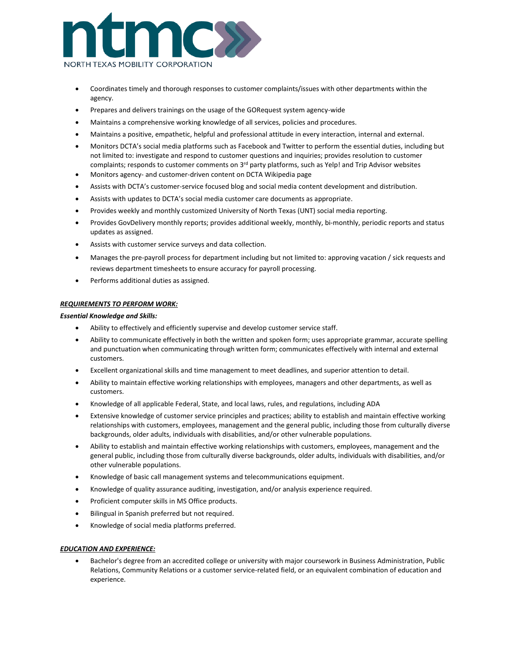

- Coordinates timely and thorough responses to customer complaints/issues with other departments within the agency.
- Prepares and delivers trainings on the usage of the GORequest system agency-wide
- Maintains a comprehensive working knowledge of all services, policies and procedures.
- Maintains a positive, empathetic, helpful and professional attitude in every interaction, internal and external.
- Monitors DCTA's social media platforms such as Facebook and Twitter to perform the essential duties, including but not limited to: investigate and respond to customer questions and inquiries; provides resolution to customer complaints; responds to customer comments on  $3<sup>rd</sup>$  party platforms, such as Yelp! and Trip Advisor websites
- Monitors agency- and customer-driven content on DCTA Wikipedia page
- Assists with DCTA's customer-service focused blog and social media content development and distribution.
- Assists with updates to DCTA's social media customer care documents as appropriate.
- Provides weekly and monthly customized University of North Texas (UNT) social media reporting.
- Provides GovDelivery monthly reports; provides additional weekly, monthly, bi-monthly, periodic reports and status updates as assigned.
- Assists with customer service surveys and data collection.
- Manages the pre-payroll process for department including but not limited to: approving vacation / sick requests and reviews department timesheets to ensure accuracy for payroll processing.
- Performs additional duties as assigned.

## *REQUIREMENTS TO PERFORM WORK:*

## *Essential Knowledge and Skills:*

- Ability to effectively and efficiently supervise and develop customer service staff.
- Ability to communicate effectively in both the written and spoken form; uses appropriate grammar, accurate spelling and punctuation when communicating through written form; communicates effectively with internal and external customers.
- Excellent organizational skills and time management to meet deadlines, and superior attention to detail.
- Ability to maintain effective working relationships with employees, managers and other departments, as well as customers.
- Knowledge of all applicable Federal, State, and local laws, rules, and regulations, including ADA
- Extensive knowledge of customer service principles and practices; ability to establish and maintain effective working relationships with customers, employees, management and the general public, including those from culturally diverse backgrounds, older adults, individuals with disabilities, and/or other vulnerable populations.
- Ability to establish and maintain effective working relationships with customers, employees, management and the general public, including those from culturally diverse backgrounds, older adults, individuals with disabilities, and/or other vulnerable populations.
- Knowledge of basic call management systems and telecommunications equipment.
- Knowledge of quality assurance auditing, investigation, and/or analysis experience required.
- Proficient computer skills in MS Office products.
- Bilingual in Spanish preferred but not required.
- Knowledge of social media platforms preferred.

## *EDUCATION AND EXPERIENCE:*

• Bachelor's degree from an accredited college or university with major coursework in Business Administration, Public Relations, Community Relations or a customer service-related field, or an equivalent combination of education and experience.